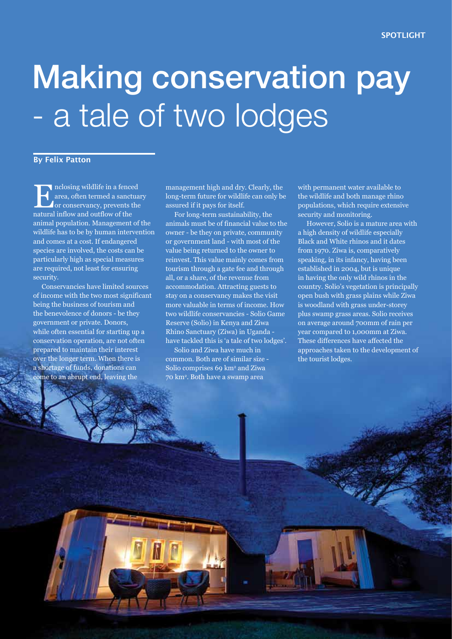# Making conservation pay - a tale of two lodges

#### **By Felix Patton**

Inclosing wildlife in a fenced area, often termed a sanctuary or conservancy, prevents the natural inflow and outflow of the animal population. Management of the wildlife has to be by human intervention and comes at a cost. If endangered species are involved, the costs can be particularly high as special measures are required, not least for ensuring security.

Conservancies have limited sources of income with the two most significant being the business of tourism and the benevolence of donors - be they government or private. Donors, while often essential for starting up a conservation operation, are not often prepared to maintain their interest over the longer term. When there is a shortage of funds, donations can come to an abrupt end, leaving the

management high and dry. Clearly, the long-term future for wildlife can only be assured if it pays for itself.

For long-term sustainability, the animals must be of financial value to the owner - be they on private, community or government land - with most of the value being returned to the owner to reinvest. This value mainly comes from tourism through a gate fee and through all, or a share, of the revenue from accommodation. Attracting guests to stay on a conservancy makes the visit more valuable in terms of income. How two wildlife conservancies - Solio Game Reserve (Solio) in Kenya and Ziwa Rhino Sanctuary (Ziwa) in Uganda have tackled this is 'a tale of two lodges'.

Solio and Ziwa have much in common. Both are of similar size - Solio comprises 69 km<sup>2</sup> and Ziwa 70 km2 . Both have a swamp area

*www.eawildlife.org* **SWARA** OCTOBER - DECEMBER 2011 **49** 

with permanent water available to the wildlife and both manage rhino populations, which require extensive security and monitoring.

However, Solio is a mature area with a high density of wildlife especially Black and White rhinos and it dates from 1970. Ziwa is, comparatively speaking, in its infancy, having been established in 2004, but is unique in having the only wild rhinos in the country. Solio's vegetation is principally open bush with grass plains while Ziwa is woodland with grass under-storey plus swamp grass areas. Solio receives on average around 700mm of rain per year compared to 1,000mm at Ziwa. These differences have affected the approaches taken to the development of the tourist lodges.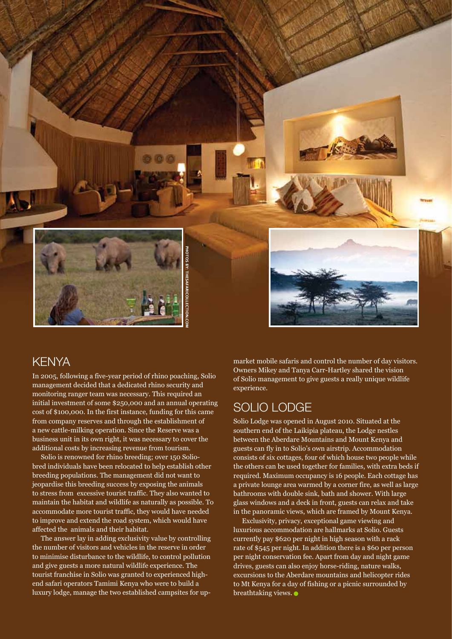

#### **KENYA**

In 2005, following a five-year period of rhino poaching, Solio management decided that a dedicated rhino security and monitoring ranger team was necessary. This required an initial investment of some \$250,000 and an annual operating cost of \$100,000. In the first instance, funding for this came from company reserves and through the establishment of a new cattle-milking operation. Since the Reserve was a business unit in its own right, it was necessary to cover the additional costs by increasing revenue from tourism.

Solio is renowned for rhino breeding; over 150 Soliobred individuals have been relocated to help establish other breeding populations. The management did not want to jeopardise this breeding success by exposing the animals to stress from excessive tourist traffic. They also wanted to maintain the habitat and wildlife as naturally as possible. To accommodate more tourist traffic, they would have needed to improve and extend the road system, which would have affected the animals and their habitat.

The answer lay in adding exclusivity value by controlling the number of visitors and vehicles in the reserve in order to minimise disturbance to the wildlife, to control pollution and give guests a more natural wildlife experience. The tourist franchise in Solio was granted to experienced highend safari operators Tamimi Kenya who were to build a luxury lodge, manage the two established campsites for upmarket mobile safaris and control the number of day visitors. Owners Mikey and Tanya Carr-Hartley shared the vision of Solio management to give guests a really unique wildlife experience.

## SOLIO LODGE

Solio Lodge was opened in August 2010. Situated at the southern end of the Laikipia plateau, the Lodge nestles between the Aberdare Mountains and Mount Kenya and guests can fly in to Solio's own airstrip. Accommodation consists of six cottages, four of which house two people while the others can be used together for families, with extra beds if required. Maximum occupancy is 16 people. Each cottage has a private lounge area warmed by a corner fire, as well as large bathrooms with double sink, bath and shower. With large glass windows and a deck in front, guests can relax and take in the panoramic views, which are framed by Mount Kenya.

Exclusivity, privacy, exceptional game viewing and luxurious accommodation are hallmarks at Solio. Guests currently pay \$620 per night in high season with a rack rate of \$545 per night. In addition there is a \$60 per person per night conservation fee. Apart from day and night game drives, guests can also enjoy horse-riding, nature walks, excursions to the Aberdare mountains and helicopter rides to Mt Kenya for a day of fishing or a picnic surrounded by breathtaking views.